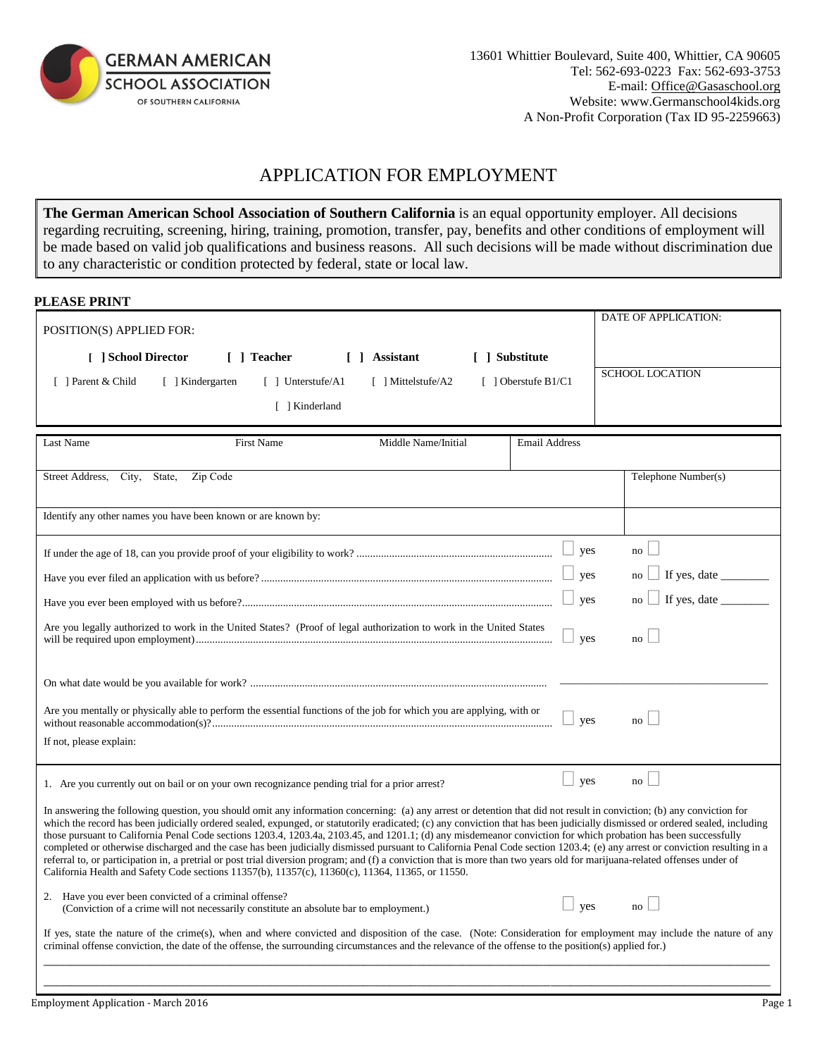

## APPLICATION FOR EMPLOYMENT

**The German American School Association of Southern California** is an equal opportunity employer. All decisions regarding recruiting, screening, hiring, training, promotion, transfer, pay, benefits and other conditions of employment will be made based on valid job qualifications and business reasons. All such decisions will be made without discrimination due to any characteristic or condition protected by federal, state or local law.

| <b>PLEASE PRINT</b> |  |
|---------------------|--|
|---------------------|--|

| POSITION(S) APPLIED FOR:                                                                                                                                                                                                                                                                                                                                                                                                                                                                                                                                                                                                                                                                                                                                                                                                                                                                                                                                                                  |                            | DATE OF APPLICATION:   |  |  |
|-------------------------------------------------------------------------------------------------------------------------------------------------------------------------------------------------------------------------------------------------------------------------------------------------------------------------------------------------------------------------------------------------------------------------------------------------------------------------------------------------------------------------------------------------------------------------------------------------------------------------------------------------------------------------------------------------------------------------------------------------------------------------------------------------------------------------------------------------------------------------------------------------------------------------------------------------------------------------------------------|----------------------------|------------------------|--|--|
| [ ] School Director<br>[ ] Teacher<br>[ ] Assistant<br>[ ] Substitute                                                                                                                                                                                                                                                                                                                                                                                                                                                                                                                                                                                                                                                                                                                                                                                                                                                                                                                     |                            |                        |  |  |
| [ ] Parent & Child<br>[ ] Kindergarten<br>$\lceil$ 1 Unterstufe/A1<br>$\lceil$   Mittelstufe/A2                                                                                                                                                                                                                                                                                                                                                                                                                                                                                                                                                                                                                                                                                                                                                                                                                                                                                           | $\lceil$ 1 Oberstufe B1/C1 | <b>SCHOOL LOCATION</b> |  |  |
| [ ] Kinderland                                                                                                                                                                                                                                                                                                                                                                                                                                                                                                                                                                                                                                                                                                                                                                                                                                                                                                                                                                            |                            |                        |  |  |
|                                                                                                                                                                                                                                                                                                                                                                                                                                                                                                                                                                                                                                                                                                                                                                                                                                                                                                                                                                                           |                            |                        |  |  |
| Middle Name/Initial<br>Last Name<br><b>First Name</b>                                                                                                                                                                                                                                                                                                                                                                                                                                                                                                                                                                                                                                                                                                                                                                                                                                                                                                                                     | <b>Email Address</b>       |                        |  |  |
|                                                                                                                                                                                                                                                                                                                                                                                                                                                                                                                                                                                                                                                                                                                                                                                                                                                                                                                                                                                           |                            |                        |  |  |
| Zip Code<br>Street Address,<br>City,<br>State,                                                                                                                                                                                                                                                                                                                                                                                                                                                                                                                                                                                                                                                                                                                                                                                                                                                                                                                                            |                            | Telephone Number(s)    |  |  |
| Identify any other names you have been known or are known by:                                                                                                                                                                                                                                                                                                                                                                                                                                                                                                                                                                                                                                                                                                                                                                                                                                                                                                                             |                            |                        |  |  |
|                                                                                                                                                                                                                                                                                                                                                                                                                                                                                                                                                                                                                                                                                                                                                                                                                                                                                                                                                                                           |                            |                        |  |  |
|                                                                                                                                                                                                                                                                                                                                                                                                                                                                                                                                                                                                                                                                                                                                                                                                                                                                                                                                                                                           | yes                        | no                     |  |  |
|                                                                                                                                                                                                                                                                                                                                                                                                                                                                                                                                                                                                                                                                                                                                                                                                                                                                                                                                                                                           | yes                        | no                     |  |  |
|                                                                                                                                                                                                                                                                                                                                                                                                                                                                                                                                                                                                                                                                                                                                                                                                                                                                                                                                                                                           | ves                        | no                     |  |  |
| Are you legally authorized to work in the United States? (Proof of legal authorization to work in the United States                                                                                                                                                                                                                                                                                                                                                                                                                                                                                                                                                                                                                                                                                                                                                                                                                                                                       | yes                        | no                     |  |  |
|                                                                                                                                                                                                                                                                                                                                                                                                                                                                                                                                                                                                                                                                                                                                                                                                                                                                                                                                                                                           |                            |                        |  |  |
| Are you mentally or physically able to perform the essential functions of the job for which you are applying, with or                                                                                                                                                                                                                                                                                                                                                                                                                                                                                                                                                                                                                                                                                                                                                                                                                                                                     | yes                        | no                     |  |  |
| If not, please explain:                                                                                                                                                                                                                                                                                                                                                                                                                                                                                                                                                                                                                                                                                                                                                                                                                                                                                                                                                                   |                            |                        |  |  |
| 1. Are you currently out on bail or on your own recognizance pending trial for a prior arrest?                                                                                                                                                                                                                                                                                                                                                                                                                                                                                                                                                                                                                                                                                                                                                                                                                                                                                            | ⊔<br>yes                   | no                     |  |  |
| In answering the following question, you should omit any information concerning: (a) any arrest or detention that did not result in conviction; (b) any conviction for<br>which the record has been judicially ordered sealed, expunged, or statutorily eradicated; (c) any conviction that has been judicially dismissed or ordered sealed, including<br>those pursuant to California Penal Code sections 1203.4, 1203.4a, 2103.45, and 1201.1; (d) any misdemeanor conviction for which probation has been successfully<br>completed or otherwise discharged and the case has been judicially dismissed pursuant to California Penal Code section 1203.4; (e) any arrest or conviction resulting in a<br>referral to, or participation in, a pretrial or post trial diversion program; and (f) a conviction that is more than two years old for marijuana-related offenses under of<br>California Health and Safety Code sections 11357(b), 11357(c), 11360(c), 11364, 11365, or 11550. |                            |                        |  |  |
| 2. Have you ever been convicted of a criminal offense?<br>(Conviction of a crime will not necessarily constitute an absolute bar to employment.)                                                                                                                                                                                                                                                                                                                                                                                                                                                                                                                                                                                                                                                                                                                                                                                                                                          | $\Box$<br>yes              | no                     |  |  |
| If yes, state the nature of the crime(s), when and where convicted and disposition of the case. (Note: Consideration for employment may include the nature of any<br>criminal offense conviction, the date of the offense, the surrounding circumstances and the relevance of the offense to the position(s) applied for.)                                                                                                                                                                                                                                                                                                                                                                                                                                                                                                                                                                                                                                                                |                            |                        |  |  |
|                                                                                                                                                                                                                                                                                                                                                                                                                                                                                                                                                                                                                                                                                                                                                                                                                                                                                                                                                                                           |                            |                        |  |  |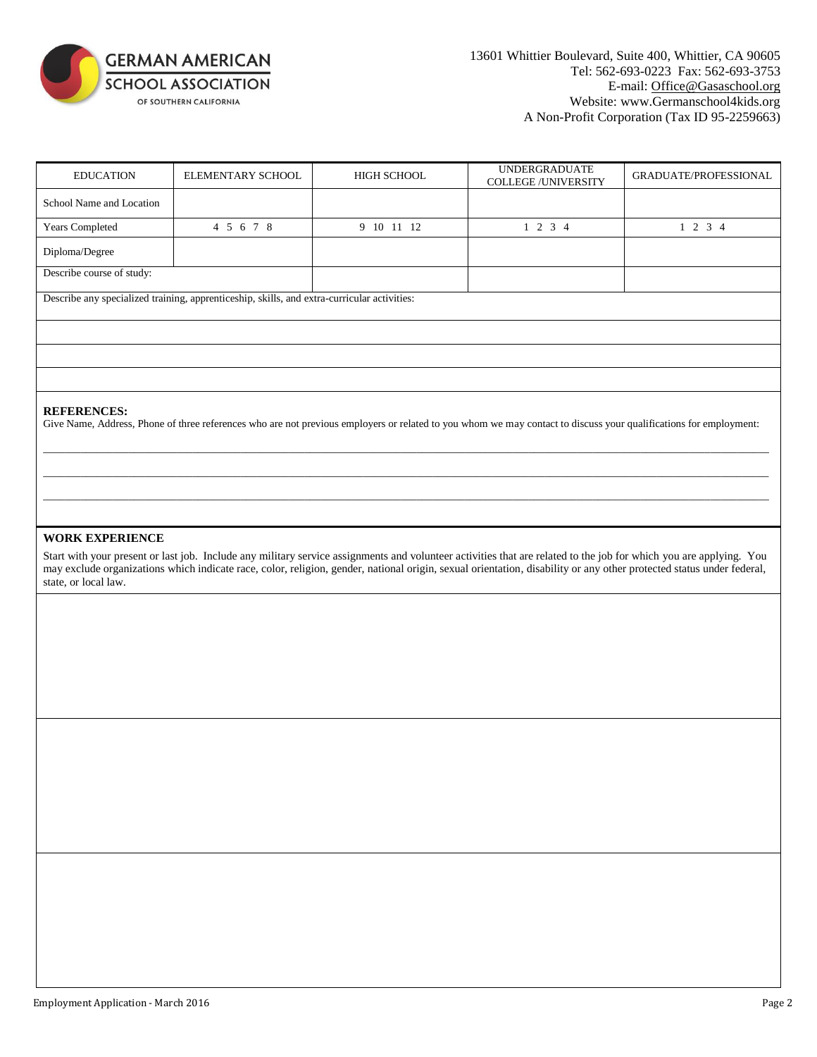

| <b>EDUCATION</b>                               | ELEMENTARY SCHOOL                                                                           | HIGH SCHOOL | <b>UNDERGRADUATE</b><br><b>COLLEGE/UNIVERSITY</b>                                                                                                                                                                                                                                                                                          | GRADUATE/PROFESSIONAL |
|------------------------------------------------|---------------------------------------------------------------------------------------------|-------------|--------------------------------------------------------------------------------------------------------------------------------------------------------------------------------------------------------------------------------------------------------------------------------------------------------------------------------------------|-----------------------|
| School Name and Location                       |                                                                                             |             |                                                                                                                                                                                                                                                                                                                                            |                       |
| Years Completed                                | 4 5 6 7 8                                                                                   | 9 10 11 12  | $1 \t2 \t3 \t4$                                                                                                                                                                                                                                                                                                                            | $1 \t2 \t3 \t4$       |
| Diploma/Degree                                 |                                                                                             |             |                                                                                                                                                                                                                                                                                                                                            |                       |
| Describe course of study:                      |                                                                                             |             |                                                                                                                                                                                                                                                                                                                                            |                       |
|                                                | Describe any specialized training, apprenticeship, skills, and extra-curricular activities: |             |                                                                                                                                                                                                                                                                                                                                            |                       |
|                                                |                                                                                             |             |                                                                                                                                                                                                                                                                                                                                            |                       |
|                                                |                                                                                             |             |                                                                                                                                                                                                                                                                                                                                            |                       |
|                                                |                                                                                             |             |                                                                                                                                                                                                                                                                                                                                            |                       |
| <b>REFERENCES:</b>                             |                                                                                             |             | Give Name, Address, Phone of three references who are not previous employers or related to you whom we may contact to discuss your qualifications for employment:                                                                                                                                                                          |                       |
| <b>WORK EXPERIENCE</b><br>state, or local law. |                                                                                             |             | Start with your present or last job. Include any military service assignments and volunteer activities that are related to the job for which you are applying. You<br>may exclude organizations which indicate race, color, religion, gender, national origin, sexual orientation, disability or any other protected status under federal, |                       |
|                                                |                                                                                             |             |                                                                                                                                                                                                                                                                                                                                            |                       |
|                                                |                                                                                             |             |                                                                                                                                                                                                                                                                                                                                            |                       |
|                                                |                                                                                             |             |                                                                                                                                                                                                                                                                                                                                            |                       |